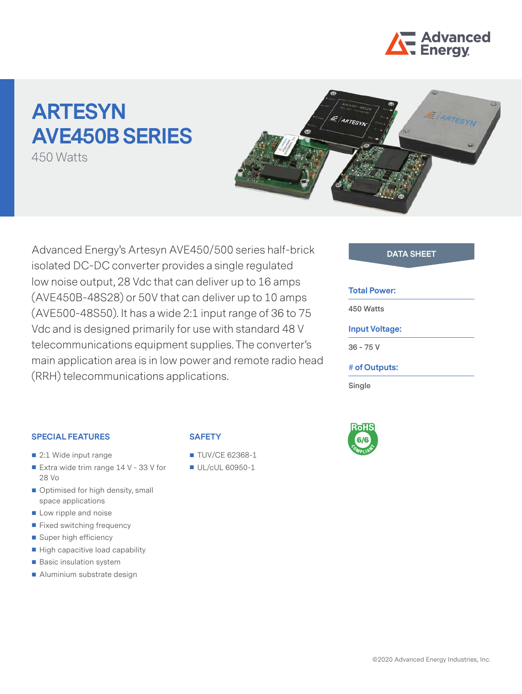

# **ARTESYN AVE450B SERIES**

450 Watts



Advanced Energy's Artesyn AVE450/500 series half-brick **DATA SHEET** isolated DC-DC converter provides a single regulated low noise output, 28 Vdc that can deliver up to 16 amps (AVE450B-48S28) or 50V that can deliver up to 10 amps (AVE500-48S50). It has a wide 2:1 input range of 36 to 75 Vdc and is designed primarily for use with standard 48 V telecommunications equipment supplies. The converter's main application area is in low power and remote radio head (RRH) telecommunications applications.

#### **Total Power:**

**450 Watts**

#### **Input Voltage:**

**36 - 75 V**

#### **# of Outputs:**

**Single**



#### **SPECIAL FEATURES**

- 2:1 Wide input range
- Extra wide trim range  $14$  V 33 V for 28 Vo
- Optimised for high density, small space applications
- Low ripple and noise
- **Fixed switching frequency**
- Super high efficiency
- High capacitive load capability
- Basic insulation system
- Aluminium substrate design

#### **SAFETY**

- **TUV/CE 62368-1**
- UL/cUL 60950-1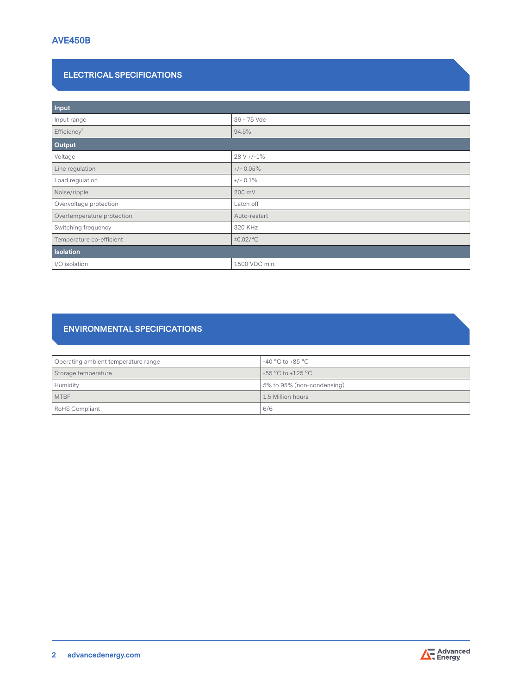# **ELECTRICAL SPECIFICATIONS**

| Input                      |               |  |
|----------------------------|---------------|--|
| Input range                | 36 - 75 Vdc   |  |
| Efficiency <sup>2</sup>    | 94.5%         |  |
| Output                     |               |  |
| Voltage                    | $28 V + -1\%$ |  |
| Line regulation            | $+/- 0.05%$   |  |
| Load regulation            | $+/- 0.1\%$   |  |
| Noise/ripple               | 200 mV        |  |
| Overvoltage protection     | Latch off     |  |
| Overtemperature protection | Auto-restart  |  |
| Switching frequency        | 320 KHz       |  |
| Temperature co-efficient   | ±0.02/°C      |  |
| <b>Isolation</b>           |               |  |
| I/O isolation              | 1500 VDC min. |  |

# **ENVIRONMENTAL SPECIFICATIONS**

| Operating ambient temperature range | $-40\,^{\circ}\mathrm{C}$ to $+85\,^{\circ}\mathrm{C}$ |  |
|-------------------------------------|--------------------------------------------------------|--|
| Storage temperature                 | -55 °C to +125 °C                                      |  |
| Humidity                            | 5% to 95% (non-condensing)                             |  |
| <b>MTBF</b>                         | 1.5 Million hours                                      |  |
| <b>RoHS Compliant</b>               | 6/6                                                    |  |

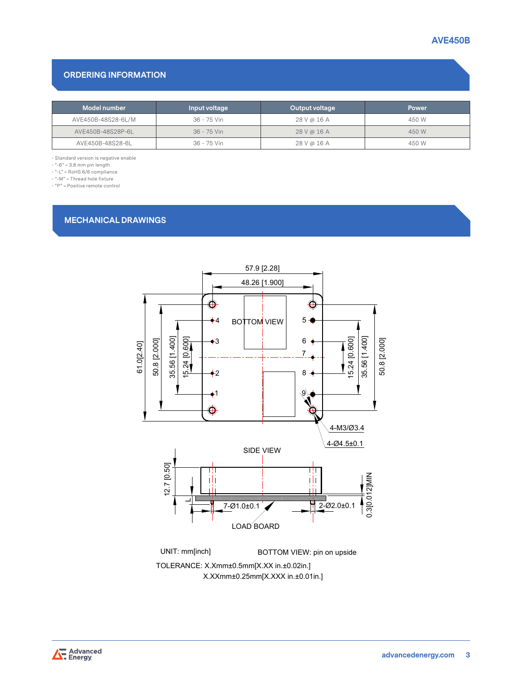# **ORDERING INFORMATION**

| Model number       | Input voltage | Output voltage | <b>Power</b> |
|--------------------|---------------|----------------|--------------|
| AVE450B-48S28-6L/M | 36 - 75 Vin   | 28 V @ 16 A    | 450 W        |
| AVE450B-48S28P-6L  | 36 - 75 Vin   | 28 V @ 16 A    | 450 W        |
| AVE450B-48S28-6L   | 36 - 75 Vin   | 28 V @ 16 A    | 450 W        |

- Standard version is negative enable

- "-6" = 3.8 mm pin length

- "-L" = RoHS 6/6 compliance

 $-$  "-M" = Thread hole fixture

- "P" = Positive remote control

# **MECHANICAL DRAWINGS**



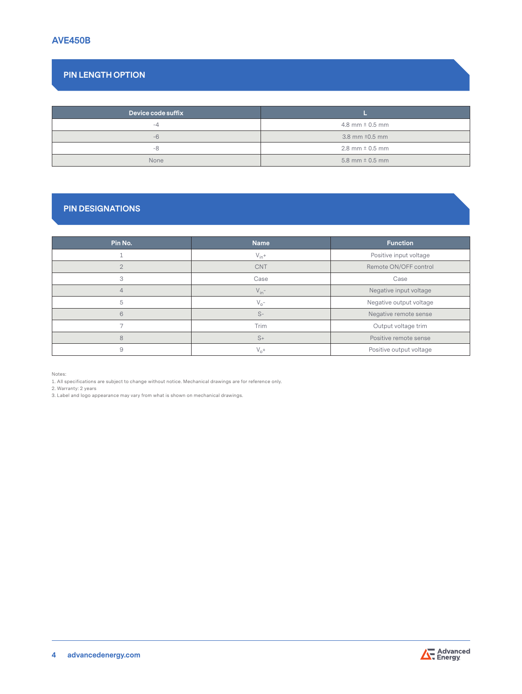# **PIN LENGTH OPTION**

| Device code suffix |                       |
|--------------------|-----------------------|
| -4                 | 4.8 mm $\pm$ 0.5 mm   |
| -6                 | 3.8 mm $\pm 0.5$ mm   |
| -8                 | $2.8$ mm $\pm$ 0.5 mm |
| None               | 5.8 mm $\pm$ 0.5 mm   |

# **PIN DESIGNATIONS**

| Pin No.        | <b>Name</b> | <b>Function</b>         |
|----------------|-------------|-------------------------|
|                | $V_{in}+$   | Positive input voltage  |
| $\overline{2}$ | <b>CNT</b>  | Remote ON/OFF control   |
| 3              | Case        | Case                    |
| 4              | $V_{in}$ -  | Negative input voltage  |
| 5              | $V_{o}$ -   | Negative output voltage |
| 6              | $S-$        | Negative remote sense   |
|                | Trim        | Output voltage trim     |
| 8              | $S+$        | Positive remote sense   |
| 9              | $V_{n}$ +   | Positive output voltage |

Notes:

1. All specifications are subject to change without notice. Mechanical drawings are for reference only.

2. Warranty: 2 years

3. Label and logo appearance may vary from what is shown on mechanical drawings.